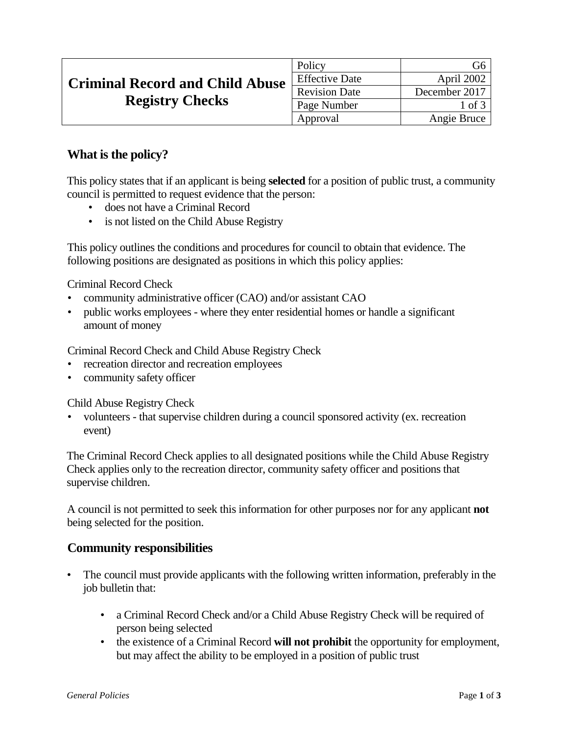| <b>Criminal Record and Child Abuse</b><br><b>Registry Checks</b> | Policy                | G6            |
|------------------------------------------------------------------|-----------------------|---------------|
|                                                                  | <b>Effective Date</b> | April 2002    |
|                                                                  | <b>Revision Date</b>  | December 2017 |
|                                                                  | Page Number           | 1 of 3        |
|                                                                  | Approval              | Angie Bruce   |

# **What is the policy?**

This policy states that if an applicant is being **selected** for a position of public trust, a community council is permitted to request evidence that the person:

- does not have a Criminal Record
- is not listed on the Child Abuse Registry

This policy outlines the conditions and procedures for council to obtain that evidence. The following positions are designated as positions in which this policy applies:

Criminal Record Check

- community administrative officer (CAO) and/or assistant CAO
- public works employees where they enter residential homes or handle a significant amount of money

Criminal Record Check and Child Abuse Registry Check

- recreation director and recreation employees
- community safety officer

Child Abuse Registry Check

• volunteers - that supervise children during a council sponsored activity (ex. recreation event)

The Criminal Record Check applies to all designated positions while the Child Abuse Registry Check applies only to the recreation director, community safety officer and positions that supervise children.

A council is not permitted to seek this information for other purposes nor for any applicant **not** being selected for the position.

#### **Community responsibilities**

- The council must provide applicants with the following written information, preferably in the job bulletin that:
	- a Criminal Record Check and/or a Child Abuse Registry Check will be required of person being selected
	- the existence of a Criminal Record **will not prohibit** the opportunity for employment, but may affect the ability to be employed in a position of public trust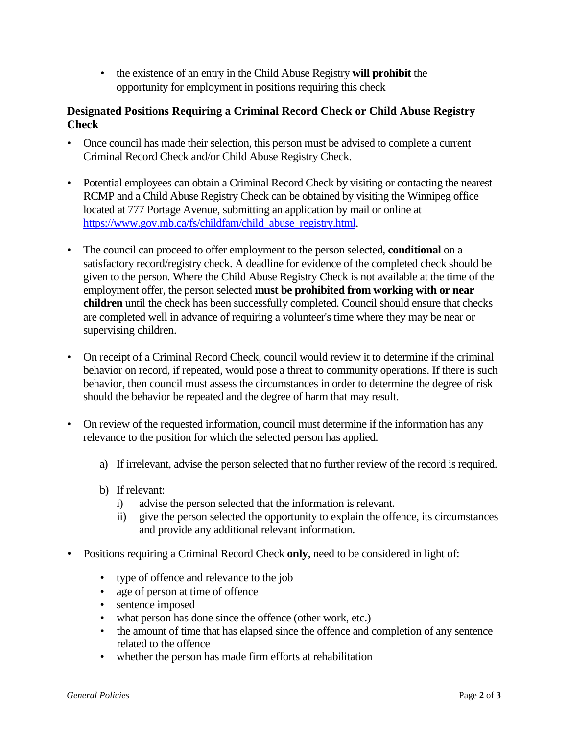• the existence of an entry in the Child Abuse Registry **will prohibit** the opportunity for employment in positions requiring this check

#### **Designated Positions Requiring a Criminal Record Check or Child Abuse Registry Check**

- Once council has made their selection, this person must be advised to complete a current Criminal Record Check and/or Child Abuse Registry Check.
- Potential employees can obtain a Criminal Record Check by visiting or contacting the nearest RCMP and a Child Abuse Registry Check can be obtained by visiting the Winnipeg office located at 777 Portage Avenue, submitting an application by mail or online at [https://www.gov.mb.ca/fs/childfam/child\\_abuse\\_registry.html.](https://www.gov.mb.ca/fs/childfam/child_abuse_registry.html)
- The council can proceed to offer employment to the person selected, **conditional** on a satisfactory record/registry check. A deadline for evidence of the completed check should be given to the person. Where the Child Abuse Registry Check is not available at the time of the employment offer, the person selected **must be prohibited from working with or near children** until the check has been successfully completed. Council should ensure that checks are completed well in advance of requiring a volunteer's time where they may be near or supervising children.
- On receipt of a Criminal Record Check, council would review it to determine if the criminal behavior on record, if repeated, would pose a threat to community operations. If there is such behavior, then council must assess the circumstances in order to determine the degree of risk should the behavior be repeated and the degree of harm that may result.
- On review of the requested information, council must determine if the information has any relevance to the position for which the selected person has applied.
	- a) If irrelevant, advise the person selected that no further review of the record is required.
	- b) If relevant:
		- i) advise the person selected that the information is relevant.
		- ii) give the person selected the opportunity to explain the offence, its circumstances and provide any additional relevant information.
- Positions requiring a Criminal Record Check **only**, need to be considered in light of:
	- type of offence and relevance to the job
	- age of person at time of offence
	- sentence imposed
	- what person has done since the offence (other work, etc.)
	- the amount of time that has elapsed since the offence and completion of any sentence related to the offence
	- whether the person has made firm efforts at rehabilitation